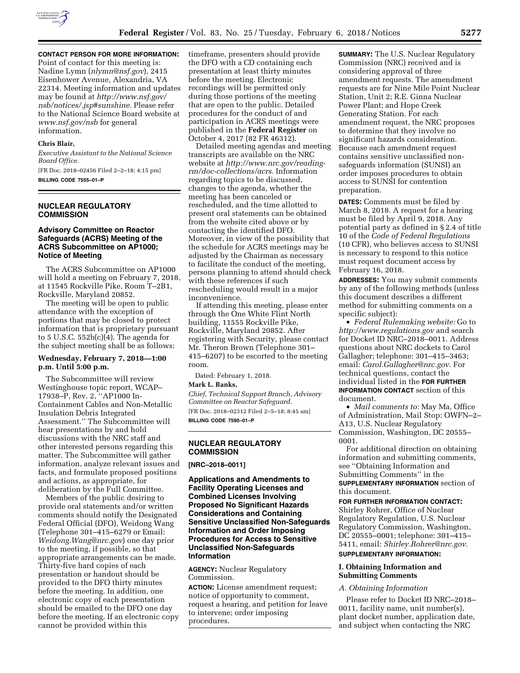

**CONTACT PERSON FOR MORE INFORMATION:**  Point of contact for this meeting is: Nadine Lymn (*[nlymn@nsf.gov](mailto:nlymn@nsf.gov)*), 2415 Eisenhower Avenue, Alexandria, VA 22314. Meeting information and updates may be found at *[http://www.nsf.gov/](http://www.nsf.gov/nsb/notices/.jsp#sunshine) [nsb/notices/.jsp#sunshine.](http://www.nsf.gov/nsb/notices/.jsp#sunshine)* Please refer to the National Science Board website at *[www.nsf.gov/nsb](http://www.nsf.gov/nsb)* for general information.

#### **Chris Blair,**

*Executive Assistant to the National Science Board Office.* 

[FR Doc. 2018–02456 Filed 2–2–18; 4:15 pm] **BILLING CODE 7555–01–P** 

## **NUCLEAR REGULATORY COMMISSION**

#### **Advisory Committee on Reactor Safeguards (ACRS) Meeting of the ACRS Subcommittee on AP1000; Notice of Meeting**

The ACRS Subcommittee on AP1000 will hold a meeting on February 7, 2018, at 11545 Rockville Pike, Room T–2B1, Rockville, Maryland 20852.

The meeting will be open to public attendance with the exception of portions that may be closed to protect information that is proprietary pursuant to 5 U.S.C. 552b(c)(4). The agenda for the subject meeting shall be as follows:

#### **Wednesday, February 7, 2018—1:00 p.m. Until 5:00 p.m.**

The Subcommittee will review Westinghouse topic report, WCAP– 17938–P, Rev. 2, ''AP1000 In-Containment Cables and Non-Metallic Insulation Debris Integrated Assessment.'' The Subcommittee will hear presentations by and hold discussions with the NRC staff and other interested persons regarding this matter. The Subcommittee will gather information, analyze relevant issues and facts, and formulate proposed positions and actions, as appropriate, for deliberation by the Full Committee.

Members of the public desiring to provide oral statements and/or written comments should notify the Designated Federal Official (DFO), Weidong Wang (Telephone 301–415–6279 or Email: *[Weidong.Wang@nrc.gov](mailto:Weidong.Wang@nrc.gov)*) one day prior to the meeting, if possible, so that appropriate arrangements can be made. Thirty-five hard copies of each presentation or handout should be provided to the DFO thirty minutes before the meeting. In addition, one electronic copy of each presentation should be emailed to the DFO one day before the meeting. If an electronic copy cannot be provided within this

timeframe, presenters should provide the DFO with a CD containing each presentation at least thirty minutes before the meeting. Electronic recordings will be permitted only during those portions of the meeting that are open to the public. Detailed procedures for the conduct of and participation in ACRS meetings were published in the **Federal Register** on October 4, 2017 (82 FR 46312).

Detailed meeting agendas and meeting transcripts are available on the NRC website at *[http://www.nrc.gov/reading](http://www.nrc.gov/reading-rm/doc-collections/acrs)[rm/doc-collections/acrs.](http://www.nrc.gov/reading-rm/doc-collections/acrs)* Information regarding topics to be discussed, changes to the agenda, whether the meeting has been canceled or rescheduled, and the time allotted to present oral statements can be obtained from the website cited above or by contacting the identified DFO. Moreover, in view of the possibility that the schedule for ACRS meetings may be adjusted by the Chairman as necessary to facilitate the conduct of the meeting, persons planning to attend should check with these references if such rescheduling would result in a major inconvenience.

If attending this meeting, please enter through the One White Flint North building, 11555 Rockville Pike, Rockville, Maryland 20852. After registering with Security, please contact Mr. Theron Brown (Telephone 301– 415–6207) to be escorted to the meeting room.

Dated: February 1, 2018.

#### **Mark L. Banks,**

*Chief, Technical Support Branch, Advisory Committee on Reactor Safeguard.* 

[FR Doc. 2018–02312 Filed 2–5–18; 8:45 am] **BILLING CODE 7590–01–P** 

# **NUCLEAR REGULATORY COMMISSION**

#### **[NRC–2018–0011]**

**Applications and Amendments to Facility Operating Licenses and Combined Licenses Involving Proposed No Significant Hazards Considerations and Containing Sensitive Unclassified Non-Safeguards Information and Order Imposing Procedures for Access to Sensitive Unclassified Non-Safeguards Information** 

**AGENCY:** Nuclear Regulatory Commission.

**ACTION:** License amendment request; notice of opportunity to comment, request a hearing, and petition for leave to intervene; order imposing procedures.

**SUMMARY:** The U.S. Nuclear Regulatory Commission (NRC) received and is considering approval of three amendment requests. The amendment requests are for Nine Mile Point Nuclear Station, Unit 2; R.E. Ginna Nuclear Power Plant; and Hope Creek Generating Station. For each amendment request, the NRC proposes to determine that they involve no significant hazards consideration. Because each amendment request contains sensitive unclassified nonsafeguards information (SUNSI) an order imposes procedures to obtain access to SUNSI for contention preparation.

**DATES:** Comments must be filed by March 8, 2018. A request for a hearing must be filed by April 9, 2018. Any potential party as defined in § 2.4 of title 10 of the *Code of Federal Regulations*  (10 CFR), who believes access to SUNSI is necessary to respond to this notice must request document access by February 16, 2018.

**ADDRESSES:** You may submit comments by any of the following methods (unless this document describes a different method for submitting comments on a specific subject):

• *Federal Rulemaking website:* Go to *<http://www.regulations.gov>* and search for Docket ID NRC–2018–0011. Address questions about NRC dockets to Carol Gallagher; telephone: 301–415–3463; email: *[Carol.Gallagher@nrc.gov.](mailto:Carol.Gallagher@nrc.gov)* For technical questions, contact the individual listed in the **FOR FURTHER INFORMATION CONTACT** section of this document.

• *Mail comments to:* May Ma, Office of Administration, Mail Stop: OWFN–2– A13, U.S. Nuclear Regulatory Commission, Washington, DC 20555– 0001.

For additional direction on obtaining information and submitting comments, see ''Obtaining Information and Submitting Comments'' in the **SUPPLEMENTARY INFORMATION** section of this document.

**FOR FURTHER INFORMATION CONTACT:**  Shirley Rohrer, Office of Nuclear Regulatory Regulation, U.S. Nuclear Regulatory Commission, Washington, DC 20555–0001; telephone: 301–415– 5411, email: *[Shirley.Rohrer@nrc.gov.](mailto:Shirley.Rohrer@nrc.gov)* 

# **SUPPLEMENTARY INFORMATION:**

## **I. Obtaining Information and Submitting Comments**

#### *A. Obtaining Information*

Please refer to Docket ID NRC–2018– 0011, facility name, unit number(s), plant docket number, application date, and subject when contacting the NRC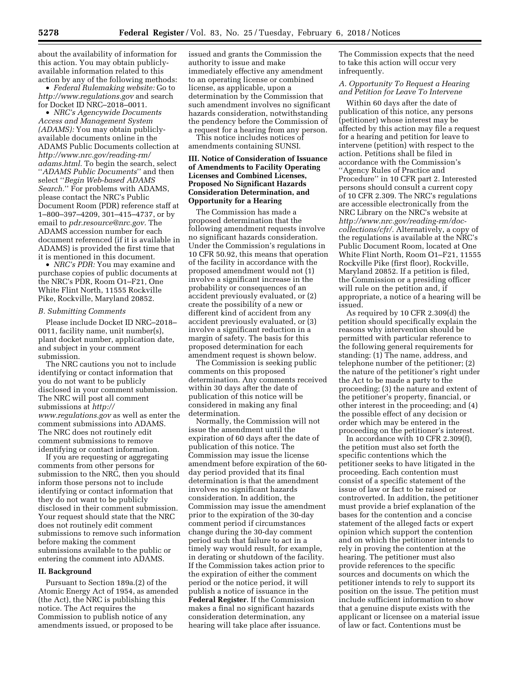about the availability of information for this action. You may obtain publiclyavailable information related to this action by any of the following methods:

• *Federal Rulemaking website:* Go to *<http://www.regulations.gov>* and search for Docket ID NRC–2018–0011.

• *NRC's Agencywide Documents Access and Management System (ADAMS):* You may obtain publiclyavailable documents online in the ADAMS Public Documents collection at *[http://www.nrc.gov/reading-rm/](http://www.nrc.gov/reading-rm/adams.html)  [adams.html.](http://www.nrc.gov/reading-rm/adams.html)* To begin the search, select ''*ADAMS Public Documents*'' and then select ''*Begin Web-based ADAMS Search.*'' For problems with ADAMS, please contact the NRC's Public Document Room (PDR) reference staff at 1–800–397–4209, 301–415–4737, or by email to *[pdr.resource@nrc.gov.](mailto:pdr.resource@nrc.gov)* The ADAMS accession number for each document referenced (if it is available in ADAMS) is provided the first time that it is mentioned in this document.

• *NRC's PDR:* You may examine and purchase copies of public documents at the NRC's PDR, Room O1–F21, One White Flint North, 11555 Rockville Pike, Rockville, Maryland 20852.

#### *B. Submitting Comments*

Please include Docket ID NRC–2018– 0011, facility name, unit number(s), plant docket number, application date, and subject in your comment submission.

The NRC cautions you not to include identifying or contact information that you do not want to be publicly disclosed in your comment submission. The NRC will post all comment submissions at *[http://](http://www.regulations.gov) [www.regulations.gov](http://www.regulations.gov)* as well as enter the comment submissions into ADAMS. The NRC does not routinely edit comment submissions to remove identifying or contact information.

If you are requesting or aggregating comments from other persons for submission to the NRC, then you should inform those persons not to include identifying or contact information that they do not want to be publicly disclosed in their comment submission. Your request should state that the NRC does not routinely edit comment submissions to remove such information before making the comment submissions available to the public or entering the comment into ADAMS.

#### **II. Background**

Pursuant to Section 189a.(2) of the Atomic Energy Act of 1954, as amended (the Act), the NRC is publishing this notice. The Act requires the Commission to publish notice of any amendments issued, or proposed to be

issued and grants the Commission the authority to issue and make immediately effective any amendment to an operating license or combined license, as applicable, upon a determination by the Commission that such amendment involves no significant hazards consideration, notwithstanding the pendency before the Commission of a request for a hearing from any person.

This notice includes notices of amendments containing SUNSI.

## **III. Notice of Consideration of Issuance of Amendments to Facility Operating Licenses and Combined Licenses, Proposed No Significant Hazards Consideration Determination, and Opportunity for a Hearing**

The Commission has made a proposed determination that the following amendment requests involve no significant hazards consideration. Under the Commission's regulations in 10 CFR 50.92, this means that operation of the facility in accordance with the proposed amendment would not (1) involve a significant increase in the probability or consequences of an accident previously evaluated, or (2) create the possibility of a new or different kind of accident from any accident previously evaluated, or (3) involve a significant reduction in a margin of safety. The basis for this proposed determination for each amendment request is shown below.

The Commission is seeking public comments on this proposed determination. Any comments received within 30 days after the date of publication of this notice will be considered in making any final determination.

Normally, the Commission will not issue the amendment until the expiration of 60 days after the date of publication of this notice. The Commission may issue the license amendment before expiration of the 60 day period provided that its final determination is that the amendment involves no significant hazards consideration. In addition, the Commission may issue the amendment prior to the expiration of the 30-day comment period if circumstances change during the 30-day comment period such that failure to act in a timely way would result, for example, in derating or shutdown of the facility. If the Commission takes action prior to the expiration of either the comment period or the notice period, it will publish a notice of issuance in the **Federal Register**. If the Commission makes a final no significant hazards consideration determination, any hearing will take place after issuance.

The Commission expects that the need to take this action will occur very infrequently.

# *A. Opportunity To Request a Hearing and Petition for Leave To Intervene*

Within 60 days after the date of publication of this notice, any persons (petitioner) whose interest may be affected by this action may file a request for a hearing and petition for leave to intervene (petition) with respect to the action. Petitions shall be filed in accordance with the Commission's ''Agency Rules of Practice and Procedure'' in 10 CFR part 2. Interested persons should consult a current copy of 10 CFR 2.309. The NRC's regulations are accessible electronically from the NRC Library on the NRC's website at *[http://www.nrc.gov/reading-rm/doc](http://www.nrc.gov/reading-rm/doc-collections/cfr/)[collections/cfr/.](http://www.nrc.gov/reading-rm/doc-collections/cfr/)* Alternatively, a copy of the regulations is available at the NRC's Public Document Room, located at One White Flint North, Room O1–F21, 11555 Rockville Pike (first floor), Rockville, Maryland 20852. If a petition is filed, the Commission or a presiding officer will rule on the petition and, if appropriate, a notice of a hearing will be issued.

As required by 10 CFR 2.309(d) the petition should specifically explain the reasons why intervention should be permitted with particular reference to the following general requirements for standing: (1) The name, address, and telephone number of the petitioner; (2) the nature of the petitioner's right under the Act to be made a party to the proceeding; (3) the nature and extent of the petitioner's property, financial, or other interest in the proceeding; and (4) the possible effect of any decision or order which may be entered in the proceeding on the petitioner's interest.

In accordance with 10 CFR 2.309(f), the petition must also set forth the specific contentions which the petitioner seeks to have litigated in the proceeding. Each contention must consist of a specific statement of the issue of law or fact to be raised or controverted. In addition, the petitioner must provide a brief explanation of the bases for the contention and a concise statement of the alleged facts or expert opinion which support the contention and on which the petitioner intends to rely in proving the contention at the hearing. The petitioner must also provide references to the specific sources and documents on which the petitioner intends to rely to support its position on the issue. The petition must include sufficient information to show that a genuine dispute exists with the applicant or licensee on a material issue of law or fact. Contentions must be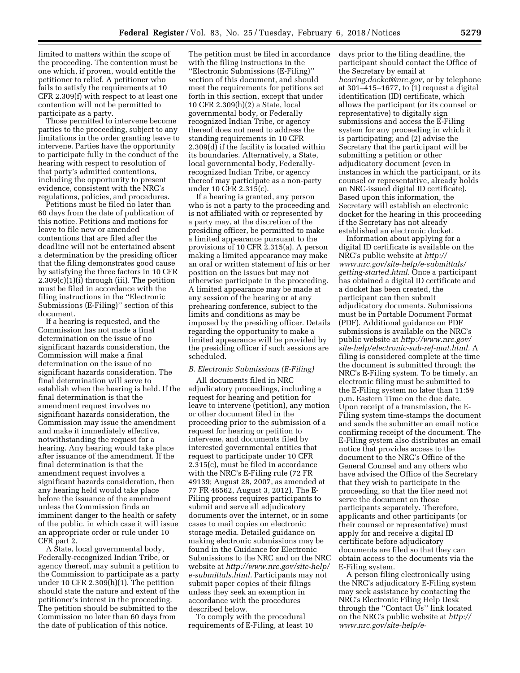limited to matters within the scope of the proceeding. The contention must be one which, if proven, would entitle the petitioner to relief. A petitioner who fails to satisfy the requirements at 10 CFR 2.309(f) with respect to at least one contention will not be permitted to participate as a party.

Those permitted to intervene become parties to the proceeding, subject to any limitations in the order granting leave to intervene. Parties have the opportunity to participate fully in the conduct of the hearing with respect to resolution of that party's admitted contentions, including the opportunity to present evidence, consistent with the NRC's regulations, policies, and procedures.

Petitions must be filed no later than 60 days from the date of publication of this notice. Petitions and motions for leave to file new or amended contentions that are filed after the deadline will not be entertained absent a determination by the presiding officer that the filing demonstrates good cause by satisfying the three factors in 10 CFR 2.309(c)(1)(i) through (iii). The petition must be filed in accordance with the filing instructions in the ''Electronic Submissions (E-Filing)'' section of this document.

If a hearing is requested, and the Commission has not made a final determination on the issue of no significant hazards consideration, the Commission will make a final determination on the issue of no significant hazards consideration. The final determination will serve to establish when the hearing is held. If the final determination is that the amendment request involves no significant hazards consideration, the Commission may issue the amendment and make it immediately effective, notwithstanding the request for a hearing. Any hearing would take place after issuance of the amendment. If the final determination is that the amendment request involves a significant hazards consideration, then any hearing held would take place before the issuance of the amendment unless the Commission finds an imminent danger to the health or safety of the public, in which case it will issue an appropriate order or rule under 10 CFR part 2.

A State, local governmental body, Federally-recognized Indian Tribe, or agency thereof, may submit a petition to the Commission to participate as a party under 10 CFR 2.309(h)(1). The petition should state the nature and extent of the petitioner's interest in the proceeding. The petition should be submitted to the Commission no later than 60 days from the date of publication of this notice.

The petition must be filed in accordance with the filing instructions in the ''Electronic Submissions (E-Filing)'' section of this document, and should meet the requirements for petitions set forth in this section, except that under 10 CFR 2.309(h)(2) a State, local governmental body, or Federally recognized Indian Tribe, or agency thereof does not need to address the standing requirements in 10 CFR 2.309(d) if the facility is located within its boundaries. Alternatively, a State, local governmental body, Federallyrecognized Indian Tribe, or agency thereof may participate as a non-party under 10 CFR 2.315(c).

If a hearing is granted, any person who is not a party to the proceeding and is not affiliated with or represented by a party may, at the discretion of the presiding officer, be permitted to make a limited appearance pursuant to the provisions of 10 CFR 2.315(a). A person making a limited appearance may make an oral or written statement of his or her position on the issues but may not otherwise participate in the proceeding. A limited appearance may be made at any session of the hearing or at any prehearing conference, subject to the limits and conditions as may be imposed by the presiding officer. Details regarding the opportunity to make a limited appearance will be provided by the presiding officer if such sessions are scheduled.

#### *B. Electronic Submissions (E-Filing)*

All documents filed in NRC adjudicatory proceedings, including a request for hearing and petition for leave to intervene (petition), any motion or other document filed in the proceeding prior to the submission of a request for hearing or petition to intervene, and documents filed by interested governmental entities that request to participate under 10 CFR 2.315(c), must be filed in accordance with the NRC's E-Filing rule (72 FR 49139; August 28, 2007, as amended at 77 FR 46562, August 3, 2012). The E-Filing process requires participants to submit and serve all adjudicatory documents over the internet, or in some cases to mail copies on electronic storage media. Detailed guidance on making electronic submissions may be found in the Guidance for Electronic Submissions to the NRC and on the NRC website at *[http://www.nrc.gov/site-help/](http://www.nrc.gov/site-help/e-submittals.html) [e-submittals.html.](http://www.nrc.gov/site-help/e-submittals.html)* Participants may not submit paper copies of their filings unless they seek an exemption in accordance with the procedures described below.

To comply with the procedural requirements of E-Filing, at least 10 days prior to the filing deadline, the participant should contact the Office of the Secretary by email at *[hearing.docket@nrc.gov,](mailto:hearing.docket@nrc.gov)* or by telephone at 301 $-415-1677$ , to (1) request a digital identification (ID) certificate, which allows the participant (or its counsel or representative) to digitally sign submissions and access the E-Filing system for any proceeding in which it is participating; and (2) advise the Secretary that the participant will be submitting a petition or other adjudicatory document (even in instances in which the participant, or its counsel or representative, already holds an NRC-issued digital ID certificate). Based upon this information, the Secretary will establish an electronic docket for the hearing in this proceeding if the Secretary has not already established an electronic docket.

Information about applying for a digital ID certificate is available on the NRC's public website at *[http://](http://www.nrc.gov/site-help/e-submittals/getting-started.html) [www.nrc.gov/site-help/e-submittals/](http://www.nrc.gov/site-help/e-submittals/getting-started.html) [getting-started.html.](http://www.nrc.gov/site-help/e-submittals/getting-started.html)* Once a participant has obtained a digital ID certificate and a docket has been created, the participant can then submit adjudicatory documents. Submissions must be in Portable Document Format (PDF). Additional guidance on PDF submissions is available on the NRC's public website at *[http://www.nrc.gov/](http://www.nrc.gov/site-help/electronic-sub-ref-mat.html) [site-help/electronic-sub-ref-mat.html.](http://www.nrc.gov/site-help/electronic-sub-ref-mat.html)* A filing is considered complete at the time the document is submitted through the NRC's E-Filing system. To be timely, an electronic filing must be submitted to the E-Filing system no later than 11:59 p.m. Eastern Time on the due date. Upon receipt of a transmission, the E-Filing system time-stamps the document and sends the submitter an email notice confirming receipt of the document. The E-Filing system also distributes an email notice that provides access to the document to the NRC's Office of the General Counsel and any others who have advised the Office of the Secretary that they wish to participate in the proceeding, so that the filer need not serve the document on those participants separately. Therefore, applicants and other participants (or their counsel or representative) must apply for and receive a digital ID certificate before adjudicatory documents are filed so that they can obtain access to the documents via the E-Filing system.

A person filing electronically using the NRC's adjudicatory E-Filing system may seek assistance by contacting the NRC's Electronic Filing Help Desk through the ''Contact Us'' link located on the NRC's public website at *[http://](http://www.nrc.gov/site-help/e-submittals.html) [www.nrc.gov/site-help/e-](http://www.nrc.gov/site-help/e-submittals.html)*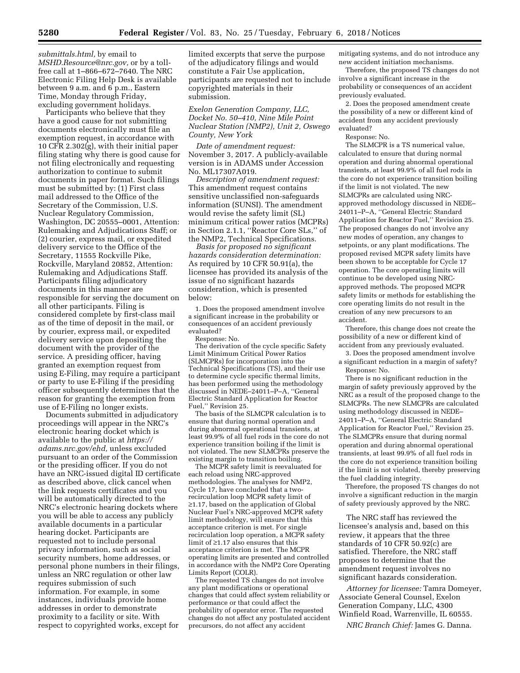*[submittals.html,](http://www.nrc.gov/site-help/e-submittals.html)* by email to *[MSHD.Resource@nrc.gov,](mailto:MSHD.Resource@nrc.gov)* or by a tollfree call at 1–866–672–7640. The NRC Electronic Filing Help Desk is available between 9 a.m. and 6 p.m., Eastern Time, Monday through Friday, excluding government holidays.

Participants who believe that they have a good cause for not submitting documents electronically must file an exemption request, in accordance with 10 CFR 2.302(g), with their initial paper filing stating why there is good cause for not filing electronically and requesting authorization to continue to submit documents in paper format. Such filings must be submitted by: (1) First class mail addressed to the Office of the Secretary of the Commission, U.S. Nuclear Regulatory Commission, Washington, DC 20555–0001, Attention: Rulemaking and Adjudications Staff; or (2) courier, express mail, or expedited delivery service to the Office of the Secretary, 11555 Rockville Pike, Rockville, Maryland 20852, Attention: Rulemaking and Adjudications Staff. Participants filing adjudicatory documents in this manner are responsible for serving the document on all other participants. Filing is considered complete by first-class mail as of the time of deposit in the mail, or by courier, express mail, or expedited delivery service upon depositing the document with the provider of the service. A presiding officer, having granted an exemption request from using E-Filing, may require a participant or party to use E-Filing if the presiding officer subsequently determines that the reason for granting the exemption from use of E-Filing no longer exists.

Documents submitted in adjudicatory proceedings will appear in the NRC's electronic hearing docket which is available to the public at *[https://](https://adams.nrc.gov/ehd) [adams.nrc.gov/ehd,](https://adams.nrc.gov/ehd)* unless excluded pursuant to an order of the Commission or the presiding officer. If you do not have an NRC-issued digital ID certificate as described above, click cancel when the link requests certificates and you will be automatically directed to the NRC's electronic hearing dockets where you will be able to access any publicly available documents in a particular hearing docket. Participants are requested not to include personal privacy information, such as social security numbers, home addresses, or personal phone numbers in their filings, unless an NRC regulation or other law requires submission of such information. For example, in some instances, individuals provide home addresses in order to demonstrate proximity to a facility or site. With respect to copyrighted works, except for

limited excerpts that serve the purpose of the adjudicatory filings and would constitute a Fair Use application, participants are requested not to include copyrighted materials in their submission.

*Exelon Generation Company, LLC, Docket No. 50–410, Nine Mile Point Nuclear Station (NMP2), Unit 2, Oswego County, New York* 

*Date of amendment request:*  November 3, 2017. A publicly-available version is in ADAMS under Accession No. ML17307A019.

*Description of amendment request:*  This amendment request contains sensitive unclassified non-safeguards information (SUNSI). The amendment would revise the safety limit (SL) minimum critical power ratios (MCPRs) in Section 2.1.1, ''Reactor Core SLs,'' of the NMP2, Technical Specifications.

*Basis for proposed no significant hazards consideration determination:*  As required by 10 CFR 50.91(a), the licensee has provided its analysis of the issue of no significant hazards consideration, which is presented below:

1. Does the proposed amendment involve a significant increase in the probability or consequences of an accident previously evaluated?

Response: No.

The derivation of the cycle specific Safety Limit Minimum Critical Power Ratios (SLMCPRs) for incorporation into the Technical Specifications (TS), and their use to determine cycle specific thermal limits, has been performed using the methodology discussed in NEDE–24011–P–A, ''General Electric Standard Application for Reactor Fuel,'' Revision 25.

The basis of the SLMCPR calculation is to ensure that during normal operation and during abnormal operational transients, at least 99.9% of all fuel rods in the core do not experience transition boiling if the limit is not violated. The new SLMCPRs preserve the existing margin to transition boiling.

The MCPR safety limit is reevaluated for each reload using NRC-approved methodologies. The analyses for NMP2, Cycle 17, have concluded that a tworecirculation loop MCPR safety limit of ≥1.17, based on the application of Global Nuclear Fuel's NRC-approved MCPR safety limit methodology, will ensure that this acceptance criterion is met. For single recirculation loop operation, a MCPR safety limit of ≥1.17 also ensures that this acceptance criterion is met. The MCPR operating limits are presented and controlled in accordance with the NMP2 Core Operating Limits Report (COLR).

The requested TS changes do not involve any plant modifications or operational changes that could affect system reliability or performance or that could affect the probability of operator error. The requested changes do not affect any postulated accident precursors, do not affect any accident

mitigating systems, and do not introduce any new accident initiation mechanisms.

Therefore, the proposed TS changes do not involve a significant increase in the probability or consequences of an accident previously evaluated.

2. Does the proposed amendment create the possibility of a new or different kind of accident from any accident previously evaluated?

Response: No.

The SLMCPR is a TS numerical value, calculated to ensure that during normal operation and during abnormal operational transients, at least 99.9% of all fuel rods in the core do not experience transition boiling if the limit is not violated. The new SLMCPRs are calculated using NRCapproved methodology discussed in NEDE– 24011–P–A, ''General Electric Standard Application for Reactor Fuel,'' Revision 25. The proposed changes do not involve any new modes of operation, any changes to setpoints, or any plant modifications. The proposed revised MCPR safety limits have been shown to be acceptable for Cycle 17 operation. The core operating limits will continue to be developed using NRCapproved methods. The proposed MCPR safety limits or methods for establishing the core operating limits do not result in the creation of any new precursors to an accident.

Therefore, this change does not create the possibility of a new or different kind of accident from any previously evaluated.

3. Does the proposed amendment involve a significant reduction in a margin of safety? Response: No.

There is no significant reduction in the margin of safety previously approved by the NRC as a result of the proposed change to the SLMCPRs. The new SLMCPRs are calculated using methodology discussed in NEDE– 24011–P–A, ''General Electric Standard Application for Reactor Fuel,'' Revision 25. The SLMCPRs ensure that during normal operation and during abnormal operational transients, at least 99.9% of all fuel rods in the core do not experience transition boiling if the limit is not violated, thereby preserving the fuel cladding integrity.

Therefore, the proposed TS changes do not involve a significant reduction in the margin of safety previously approved by the NRC.

The NRC staff has reviewed the licensee's analysis and, based on this review, it appears that the three standards of 10 CFR 50.92(c) are satisfied. Therefore, the NRC staff proposes to determine that the amendment request involves no significant hazards consideration.

*Attorney for licensee:* Tamra Domeyer, Associate General Counsel, Exelon Generation Company, LLC, 4300 Winfield Road, Warrenville, IL 60555.

*NRC Branch Chief:* James G. Danna.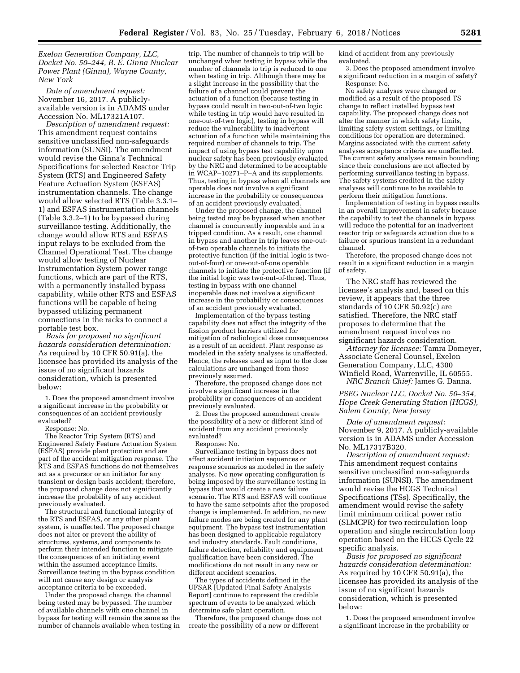*Exelon Generation Company, LLC, Docket No. 50–244, R. E. Ginna Nuclear Power Plant (Ginna), Wayne County, New York* 

*Date of amendment request:*  November 16, 2017. A publiclyavailable version is in ADAMS under Accession No. ML17321A107.

*Description of amendment request:*  This amendment request contains sensitive unclassified non-safeguards information (SUNSI). The amendment would revise the Ginna's Technical Specifications for selected Reactor Trip System (RTS) and Engineered Safety Feature Actuation System (ESFAS) instrumentation channels. The change would allow selected RTS (Table 3.3.1– 1) and ESFAS instrumentation channels (Table 3.3.2–1) to be bypassed during surveillance testing. Additionally, the change would allow RTS and ESFAS input relays to be excluded from the Channel Operational Test. The change would allow testing of Nuclear Instrumentation System power range functions, which are part of the RTS, with a permanently installed bypass capability, while other RTS and ESFAS functions will be capable of being bypassed utilizing permanent connections in the racks to connect a portable test box.

*Basis for proposed no significant hazards consideration determination:*  As required by 10 CFR 50.91(a), the licensee has provided its analysis of the issue of no significant hazards consideration, which is presented below:

1. Does the proposed amendment involve a significant increase in the probability or consequences of an accident previously evaluated?

Response: No.

The Reactor Trip System (RTS) and Engineered Safety Feature Actuation System (ESFAS) provide plant protection and are part of the accident mitigation response. The RTS and ESFAS functions do not themselves act as a precursor or an initiator for any transient or design basis accident; therefore, the proposed change does not significantly increase the probability of any accident previously evaluated.

The structural and functional integrity of the RTS and ESFAS, or any other plant system, is unaffected. The proposed change does not alter or prevent the ability of structures, systems, and components to perform their intended function to mitigate the consequences of an initiating event within the assumed acceptance limits. Surveillance testing in the bypass condition will not cause any design or analysis acceptance criteria to be exceeded.

Under the proposed change, the channel being tested may be bypassed. The number of available channels with one channel in bypass for testing will remain the same as the number of channels available when testing in

trip. The number of channels to trip will be unchanged when testing in bypass while the number of channels to trip is reduced to one when testing in trip. Although there may be a slight increase in the possibility that the failure of a channel could prevent the actuation of a function (because testing in bypass could result in two-out-of-two logic while testing in trip would have resulted in one-out-of-two logic), testing in bypass will reduce the vulnerability to inadvertent actuation of a function while maintaining the required number of channels to trip. The impact of using bypass test capability upon nuclear safety has been previously evaluated by the NRC and determined to be acceptable in WCAP–10271–P–A and its supplements. Thus, testing in bypass when all channels are operable does not involve a significant increase in the probability or consequences of an accident previously evaluated.

Under the proposed change, the channel being tested may be bypassed when another channel is concurrently inoperable and in a tripped condition. As a result, one channel in bypass and another in trip leaves one-outof-two operable channels to initiate the protective function (if the initial logic is twoout-of-four) or one-out-of-one operable channels to initiate the protective function (if the initial logic was two-out-of-three). Thus, testing in bypass with one channel inoperable does not involve a significant increase in the probability or consequences of an accident previously evaluated.

Implementation of the bypass testing capability does not affect the integrity of the fission product barriers utilized for mitigation of radiological dose consequences as a result of an accident. Plant response as modeled in the safety analyses is unaffected. Hence, the releases used as input to the dose calculations are unchanged from those previously assumed.

Therefore, the proposed change does not involve a significant increase in the probability or consequences of an accident previously evaluated.

2. Does the proposed amendment create the possibility of a new or different kind of accident from any accident previously evaluated?

Response: No.

Surveillance testing in bypass does not affect accident initiation sequences or response scenarios as modeled in the safety analyses. No new operating configuration is being imposed by the surveillance testing in bypass that would create a new failure scenario. The RTS and ESFAS will continue to have the same setpoints after the proposed change is implemented. In addition, no new failure modes are being created for any plant equipment. The bypass test instrumentation has been designed to applicable regulatory and industry standards. Fault conditions, failure detection, reliability and equipment qualification have been considered. The modifications do not result in any new or different accident scenarios.

The types of accidents defined in the UFSAR [Updated Final Safety Analysis Report] continue to represent the credible spectrum of events to be analyzed which determine safe plant operation.

Therefore, the proposed change does not create the possibility of a new or different

kind of accident from any previously evaluated.

3. Does the proposed amendment involve a significant reduction in a margin of safety? Response: No.

No safety analyses were changed or modified as a result of the proposed TS change to reflect installed bypass test capability. The proposed change does not alter the manner in which safety limits, limiting safety system settings, or limiting conditions for operation are determined. Margins associated with the current safety analyses acceptance criteria are unaffected. The current safety analyses remain bounding since their conclusions are not affected by performing surveillance testing in bypass. The safety systems credited in the safety analyses will continue to be available to perform their mitigation functions.

Implementation of testing in bypass results in an overall improvement in safety because the capability to test the channels in bypass will reduce the potential for an inadvertent reactor trip or safeguards actuation due to a failure or spurious transient in a redundant channel.

Therefore, the proposed change does not result in a significant reduction in a margin of safety.

The NRC staff has reviewed the licensee's analysis and, based on this review, it appears that the three standards of 10 CFR 50.92(c) are satisfied. Therefore, the NRC staff proposes to determine that the amendment request involves no significant hazards consideration.

*Attorney for licensee:* Tamra Domeyer, Associate General Counsel, Exelon Generation Company, LLC, 4300 Winfield Road, Warrenville, IL 60555. *NRC Branch Chief:* James G. Danna.

*PSEG Nuclear LLC, Docket No. 50–354, Hope Creek Generating Station (HCGS), Salem County, New Jersey* 

*Date of amendment request:*  November 9, 2017. A publicly-available version is in ADAMS under Accession No. ML17317B320.

*Description of amendment request:*  This amendment request contains sensitive unclassified non-safeguards information (SUNSI). The amendment would revise the HCGS Technical Specifications (TSs). Specifically, the amendment would revise the safety limit minimum critical power ratio (SLMCPR) for two recirculation loop operation and single recirculation loop operation based on the HCGS Cycle 22 specific analysis.

*Basis for proposed no significant hazards consideration determination:*  As required by 10 CFR 50.91(a), the licensee has provided its analysis of the issue of no significant hazards consideration, which is presented below:

1. Does the proposed amendment involve a significant increase in the probability or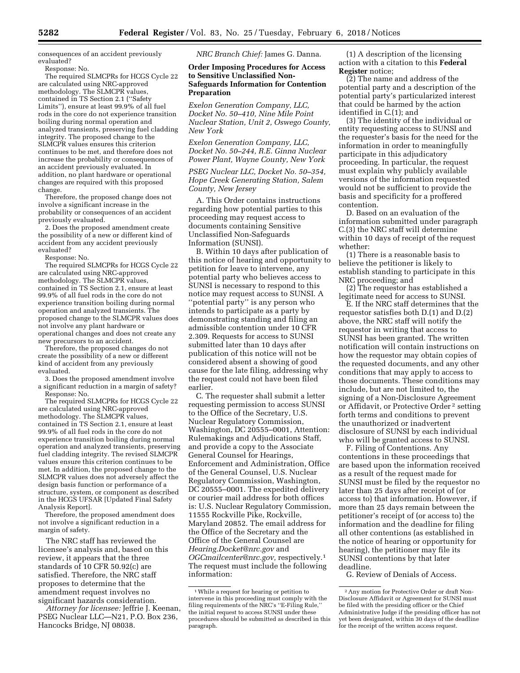consequences of an accident previously evaluated?

Response: No.

The required SLMCPRs for HCGS Cycle 22 are calculated using NRC-approved methodology. The SLMCPR values, contained in TS Section 2.1 (''Safety Limits''), ensure at least 99.9% of all fuel rods in the core do not experience transition boiling during normal operation and analyzed transients, preserving fuel cladding integrity. The proposed change to the SLMCPR values ensures this criterion continues to be met, and therefore does not increase the probability or consequences of an accident previously evaluated. In addition, no plant hardware or operational changes are required with this proposed change.

Therefore, the proposed change does not involve a significant increase in the probability or consequences of an accident previously evaluated.

2. Does the proposed amendment create the possibility of a new or different kind of accident from any accident previously evaluated?

Response: No.

The required SLMCPRs for HCGS Cycle 22 are calculated using NRC-approved methodology. The SLMCPR values, contained in TS Section 2.1, ensure at least 99.9% of all fuel rods in the core do not experience transition boiling during normal operation and analyzed transients. The proposed change to the SLMCPR values does not involve any plant hardware or operational changes and does not create any new precursors to an accident.

Therefore, the proposed changes do not create the possibility of a new or different kind of accident from any previously evaluated.

3. Does the proposed amendment involve a significant reduction in a margin of safety? Response: No.

The required SLMCPRs for HCGS Cycle 22 are calculated using NRC-approved methodology. The SLMCPR values, contained in TS Section 2.1, ensure at least 99.9% of all fuel rods in the core do not experience transition boiling during normal operation and analyzed transients, preserving fuel cladding integrity. The revised SLMCPR values ensure this criterion continues to be met. In addition, the proposed change to the SLMCPR values does not adversely affect the design basis function or performance of a structure, system, or component as described in the HCGS UFSAR [Updated Final Safety Analysis Report].

Therefore, the proposed amendment does not involve a significant reduction in a margin of safety.

The NRC staff has reviewed the licensee's analysis and, based on this review, it appears that the three standards of 10 CFR 50.92(c) are satisfied. Therefore, the NRC staff proposes to determine that the amendment request involves no significant hazards consideration.

*Attorney for licensee:* Jeffrie J. Keenan, PSEG Nuclear LLC—N21, P.O. Box 236, Hancocks Bridge, NJ 08038.

*NRC Branch Chief:* James G. Danna.

## **Order Imposing Procedures for Access to Sensitive Unclassified Non-Safeguards Information for Contention Preparation**

*Exelon Generation Company, LLC, Docket No. 50–410, Nine Mile Point Nuclear Station, Unit 2, Oswego County, New York* 

*Exelon Generation Company, LLC, Docket No. 50–244, R.E. Ginna Nuclear Power Plant, Wayne County, New York* 

*PSEG Nuclear LLC, Docket No. 50–354, Hope Creek Generating Station, Salem County, New Jersey* 

A. This Order contains instructions regarding how potential parties to this proceeding may request access to documents containing Sensitive Unclassified Non-Safeguards Information (SUNSI).

B. Within 10 days after publication of this notice of hearing and opportunity to petition for leave to intervene, any potential party who believes access to SUNSI is necessary to respond to this notice may request access to SUNSI. A ''potential party'' is any person who intends to participate as a party by demonstrating standing and filing an admissible contention under 10 CFR 2.309. Requests for access to SUNSI submitted later than 10 days after publication of this notice will not be considered absent a showing of good cause for the late filing, addressing why the request could not have been filed earlier.

C. The requester shall submit a letter requesting permission to access SUNSI to the Office of the Secretary, U.S. Nuclear Regulatory Commission, Washington, DC 20555–0001, Attention: Rulemakings and Adjudications Staff, and provide a copy to the Associate General Counsel for Hearings, Enforcement and Administration, Office of the General Counsel, U.S. Nuclear Regulatory Commission, Washington, DC 20555–0001. The expedited delivery or courier mail address for both offices is: U.S. Nuclear Regulatory Commission, 11555 Rockville Pike, Rockville, Maryland 20852. The email address for the Office of the Secretary and the Office of the General Counsel are *[Hearing.Docket@nrc.gov](mailto:Hearing.Docket@nrc.gov)* and *[OGCmailcenter@nrc.gov,](mailto:OGCmailcenter@nrc.gov)* respectively.1 The request must include the following information:

(1) A description of the licensing action with a citation to this **Federal Register** notice;

(2) The name and address of the potential party and a description of the potential party's particularized interest that could be harmed by the action identified in C.(1); and

(3) The identity of the individual or entity requesting access to SUNSI and the requester's basis for the need for the information in order to meaningfully participate in this adjudicatory proceeding. In particular, the request must explain why publicly available versions of the information requested would not be sufficient to provide the basis and specificity for a proffered contention.

D. Based on an evaluation of the information submitted under paragraph C.(3) the NRC staff will determine within 10 days of receipt of the request whether:

(1) There is a reasonable basis to believe the petitioner is likely to establish standing to participate in this NRC proceeding; and

(2) The requestor has established a legitimate need for access to SUNSI.

E. If the NRC staff determines that the requestor satisfies both D.(1) and D.(2) above, the NRC staff will notify the requestor in writing that access to SUNSI has been granted. The written notification will contain instructions on how the requestor may obtain copies of the requested documents, and any other conditions that may apply to access to those documents. These conditions may include, but are not limited to, the signing of a Non-Disclosure Agreement or Affidavit, or Protective Order 2 setting forth terms and conditions to prevent the unauthorized or inadvertent disclosure of SUNSI by each individual who will be granted access to SUNSI.

F. Filing of Contentions. Any contentions in these proceedings that are based upon the information received as a result of the request made for SUNSI must be filed by the requestor no later than 25 days after receipt of (or access to) that information. However, if more than 25 days remain between the petitioner's receipt of (or access to) the information and the deadline for filing all other contentions (as established in the notice of hearing or opportunity for hearing), the petitioner may file its SUNSI contentions by that later deadline.

G. Review of Denials of Access.

<sup>1</sup>While a request for hearing or petition to intervene in this proceeding must comply with the filing requirements of the NRC's ''E-Filing Rule,'' the initial request to access SUNSI under these procedures should be submitted as described in this paragraph.

<sup>2</sup>Any motion for Protective Order or draft Non-Disclosure Affidavit or Agreement for SUNSI must be filed with the presiding officer or the Chief Administrative Judge if the presiding officer has not yet been designated, within 30 days of the deadline for the receipt of the written access request.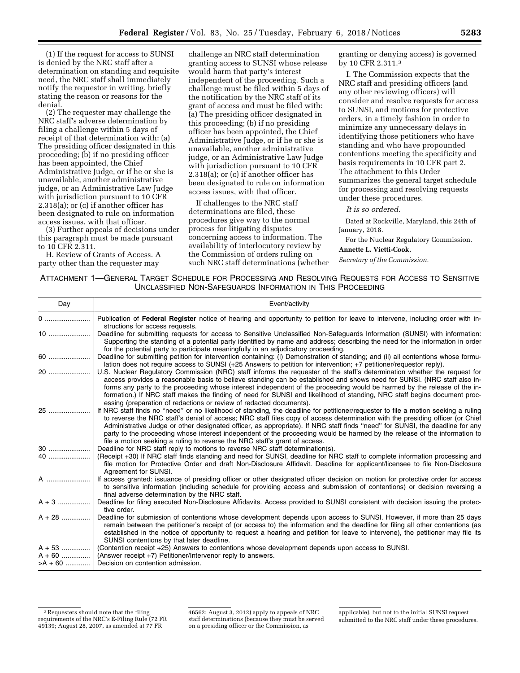(1) If the request for access to SUNSI is denied by the NRC staff after a determination on standing and requisite need, the NRC staff shall immediately notify the requestor in writing, briefly stating the reason or reasons for the denial.

(2) The requester may challenge the NRC staff's adverse determination by filing a challenge within 5 days of receipt of that determination with: (a) The presiding officer designated in this proceeding; (b) if no presiding officer has been appointed, the Chief Administrative Judge, or if he or she is unavailable, another administrative judge, or an Administrative Law Judge with jurisdiction pursuant to 10 CFR 2.318(a); or (c) if another officer has been designated to rule on information access issues, with that officer.

(3) Further appeals of decisions under this paragraph must be made pursuant to 10 CFR 2.311.

H. Review of Grants of Access. A party other than the requester may

challenge an NRC staff determination granting access to SUNSI whose release would harm that party's interest independent of the proceeding. Such a challenge must be filed within 5 days of the notification by the NRC staff of its grant of access and must be filed with: (a) The presiding officer designated in this proceeding; (b) if no presiding officer has been appointed, the Chief Administrative Judge, or if he or she is unavailable, another administrative judge, or an Administrative Law Judge with jurisdiction pursuant to 10 CFR 2.318(a); or (c) if another officer has been designated to rule on information access issues, with that officer.

If challenges to the NRC staff determinations are filed, these procedures give way to the normal process for litigating disputes concerning access to information. The availability of interlocutory review by the Commission of orders ruling on such NRC staff determinations (whether

granting or denying access) is governed by 10 CFR 2.311.3

I. The Commission expects that the NRC staff and presiding officers (and any other reviewing officers) will consider and resolve requests for access to SUNSI, and motions for protective orders, in a timely fashion in order to minimize any unnecessary delays in identifying those petitioners who have standing and who have propounded contentions meeting the specificity and basis requirements in 10 CFR part 2. The attachment to this Order summarizes the general target schedule for processing and resolving requests under these procedures.

*It is so ordered.* 

Dated at Rockville, Maryland, this 24th of January, 2018.

For the Nuclear Regulatory Commission. **Annette L. Vietti-Cook,** 

*Secretary of the Commission.* 

ATTACHMENT 1—GENERAL TARGET SCHEDULE FOR PROCESSING AND RESOLVING REQUESTS FOR ACCESS TO SENSITIVE UNCLASSIFIED NON-SAFEGUARDS INFORMATION IN THIS PROCEEDING

| Day        | Event/activity                                                                                                                                                                                                                                                                                                                                                                                                                                                                                                                                                                                                  |
|------------|-----------------------------------------------------------------------------------------------------------------------------------------------------------------------------------------------------------------------------------------------------------------------------------------------------------------------------------------------------------------------------------------------------------------------------------------------------------------------------------------------------------------------------------------------------------------------------------------------------------------|
| 0          | Publication of Federal Register notice of hearing and opportunity to petition for leave to intervene, including order with in-<br>structions for access requests.                                                                                                                                                                                                                                                                                                                                                                                                                                               |
|            | Deadline for submitting requests for access to Sensitive Unclassified Non-Safeguards Information (SUNSI) with information:<br>Supporting the standing of a potential party identified by name and address; describing the need for the information in order<br>for the potential party to participate meaningfully in an adjudicatory proceeding.                                                                                                                                                                                                                                                               |
| 60         | Deadline for submitting petition for intervention containing: (i) Demonstration of standing; and (ii) all contentions whose formu-<br>lation does not require access to SUNSI (+25 Answers to petition for intervention; +7 petitioner/requestor reply).                                                                                                                                                                                                                                                                                                                                                        |
| 20         | U.S. Nuclear Regulatory Commission (NRC) staff informs the requester of the staff's determination whether the request for<br>access provides a reasonable basis to believe standing can be established and shows need for SUNSI. (NRC staff also in-<br>forms any party to the proceeding whose interest independent of the proceeding would be harmed by the release of the in-<br>formation.) If NRC staff makes the finding of need for SUNSI and likelihood of standing, NRC staff begins document proc-<br>essing (preparation of redactions or review of redacted documents).                             |
| 25         | If NRC staff finds no "need" or no likelihood of standing, the deadline for petitioner/requester to file a motion seeking a ruling<br>to reverse the NRC staff's denial of access; NRC staff files copy of access determination with the presiding officer (or Chief<br>Administrative Judge or other designated officer, as appropriate). If NRC staff finds "need" for SUNSI, the deadline for any<br>party to the proceeding whose interest independent of the proceeding would be harmed by the release of the information to<br>file a motion seeking a ruling to reverse the NRC staff's grant of access. |
| $30$       | Deadline for NRC staff reply to motions to reverse NRC staff determination(s).                                                                                                                                                                                                                                                                                                                                                                                                                                                                                                                                  |
| 40         | (Receipt +30) If NRC staff finds standing and need for SUNSI, deadline for NRC staff to complete information processing and<br>file motion for Protective Order and draft Non-Disclosure Affidavit. Deadline for applicant/licensee to file Non-Disclosure<br>Agreement for SUNSI.                                                                                                                                                                                                                                                                                                                              |
| A          | If access granted: issuance of presiding officer or other designated officer decision on motion for protective order for access<br>to sensitive information (including schedule for providing access and submission of contentions) or decision reversing a<br>final adverse determination by the NRC staff.                                                                                                                                                                                                                                                                                                    |
| $A + 3$    | Deadline for filing executed Non-Disclosure Affidavits. Access provided to SUNSI consistent with decision issuing the protec-<br>tive order.                                                                                                                                                                                                                                                                                                                                                                                                                                                                    |
| $A + 28$   | Deadline for submission of contentions whose development depends upon access to SUNSI. However, if more than 25 days<br>remain between the petitioner's receipt of (or access to) the information and the deadline for filing all other contentions (as<br>established in the notice of opportunity to request a hearing and petition for leave to intervene), the petitioner may file its<br>SUNSI contentions by that later deadline.                                                                                                                                                                         |
| $A + 53$   | (Contention receipt +25) Answers to contentions whose development depends upon access to SUNSI.                                                                                                                                                                                                                                                                                                                                                                                                                                                                                                                 |
| $A + 60$   | (Answer receipt +7) Petitioner/Intervenor reply to answers.                                                                                                                                                                                                                                                                                                                                                                                                                                                                                                                                                     |
| $>$ A + 60 | Decision on contention admission.                                                                                                                                                                                                                                                                                                                                                                                                                                                                                                                                                                               |

<sup>3</sup>Requesters should note that the filing requirements of the NRC's E-Filing Rule (72 FR 49139; August 28, 2007, as amended at 77 FR

<sup>46562;</sup> August 3, 2012) apply to appeals of NRC staff determinations (because they must be served on a presiding officer or the Commission, as

applicable), but not to the initial SUNSI request submitted to the NRC staff under these procedures.